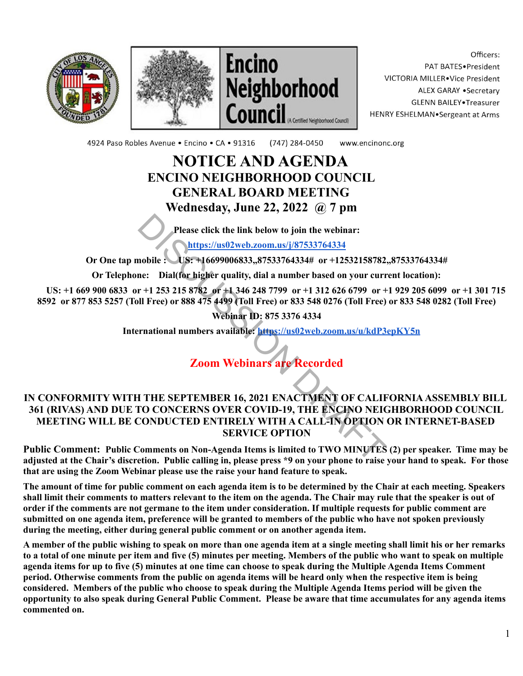





Officers: PAT BATES.President VICTORIA MILLER. Vice President ALEX GARAY . Secretary **GLENN BAILEY** Treasurer HENRY ESHELMAN.Sergeant at Arms

4924 Paso Robles Avenue · Encino · CA · 91316 (747) 284-0450 www.encinonc.org

### **NOTICE AND AGENDA ENCINO NEIGHBORHOOD COUNCIL GENERAL BOARD MEETING Wednesday, June 22, 2022 @ 7 pm**

**Please click the link below to join the webinar:**

**https://us02web.zoom.us/j/87533764334**

**Or One tap mobile : US: +16699006833,,87533764334# or +12532158782,,87533764334#**

**Or Telephone: Dial(for higher quality, dial a number based on your current location):**

**US: +1 669 900 6833 or +1 253 215 8782 or +1 346 248 7799 or +1 312 626 6799 or +1 929 205 6099 or +1 301 715 8592 or 877 853 5257 (Toll Free) or 888 475 4499 (Toll Free) or 833 548 0276 (Toll Free) or 833 548 0282 (Toll Free)**

**Webinar ID: 875 3376 4334**

**International numbers available: <https://us02web.zoom.us/u/kdP3epKY5n>**

## **Zoom Webinars are Recorded**

# **IN CONFORMITY WITH THE SEPTEMBER 16, 2021 ENACTMENT OF CALIFORNIA ASSEMBLY BILL 361 (RIVAS) AND DUE TO CONCERNS OVER COVID-19, THE ENCINO NEIGHBORHOOD COUNCIL MEETING WILL BE CONDUCTED ENTIRELY WITH A CALL-IN OPTION OR INTERNET-BASED SERVICE OPTION** Please click the link below to join the webinar:<br>
nobile : https://us02web.zoom.us/j/87533764334<br>
nobile : https://us02web.zoom.us/j/87533764334<br>
ne: Dial(for higher quality, dial a number based on your curr<br>
r+1 253 215 8

**Public Comment: Public Comments on Non-Agenda Items is limited to TWO MINUTES (2) per speaker. Time may be adjusted at the Chair's discretion. Public calling in, please press \*9 on your phone to raise your hand to speak. For those that are using the Zoom Webinar please use the raise your hand feature to speak.**

**The amount of time for public comment on each agenda item is to be determined by the Chair at each meeting. Speakers shall limit their comments to matters relevant to the item on the agenda. The Chair may rule that the speaker is out of order if the comments are not germane to the item under consideration. If multiple requests for public comment are submitted on one agenda item, preference will be granted to members of the public who have not spoken previously during the meeting, either during general public comment or on another agenda item.**

**A member of the public wishing to speak on more than one agenda item at a single meeting shall limit his or her remarks to a total of one minute per item and five (5) minutes per meeting. Members of the public who want to speak on multiple agenda items for up to five (5) minutes at one time can choose to speak during the Multiple Agenda Items Comment period. Otherwise comments from the public on agenda items will be heard only when the respective item is being considered. Members of the public who choose to speak during the Multiple Agenda Items period will be given the opportunity to also speak during General Public Comment. Please be aware that time accumulates for any agenda items commented on.**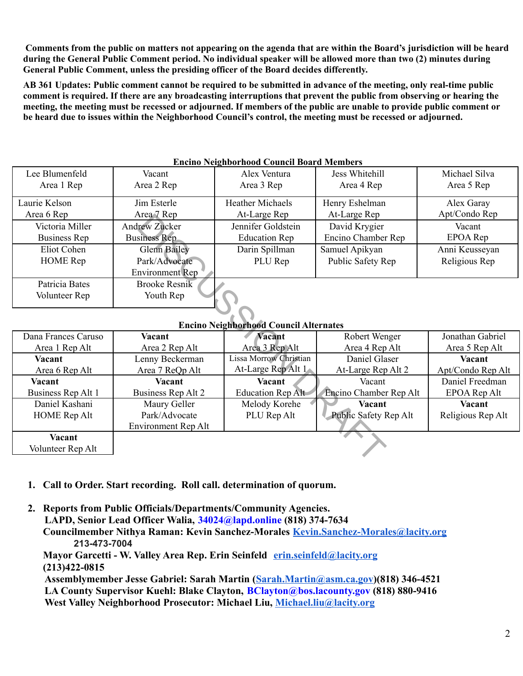**Comments from the public on matters not appearing on the agenda that are within the Board's jurisdiction will be heard during the General Public Comment period. No individual speaker will be allowed more than two (2) minutes during General Public Comment, unless the presiding officer of the Board decides differently.**

**AB 361 Updates: Public comment cannot be required to be submitted in advance of the meeting, only real-time public comment is required. If there are any broadcasting interruptions that prevent the public from observing or hearing the meeting, the meeting must be recessed or adjourned. If members of the public are unable to provide public comment or be heard due to issues within the Neighborhood Council's control, the meeting must be recessed or adjourned.**

| Encino Neighbornood Council Board Members |                        |                         |                    |                |  |  |  |
|-------------------------------------------|------------------------|-------------------------|--------------------|----------------|--|--|--|
| Lee Blumenfeld                            | Vacant                 | Alex Ventura            | Jess Whitehill     | Michael Silva  |  |  |  |
| Area 1 Rep                                | Area 2 Rep             | Area 3 Rep              | Area 4 Rep         | Area 5 Rep     |  |  |  |
| Laurie Kelson                             | Jim Esterle            | <b>Heather Michaels</b> | Henry Eshelman     | Alex Garay     |  |  |  |
| Area 6 Rep                                | Area 7 Rep             | At-Large Rep            | At-Large Rep       | Apt/Condo Rep  |  |  |  |
| Victoria Miller                           | <b>Andrew Zucker</b>   | Jennifer Goldstein      | David Krygier      | Vacant         |  |  |  |
| Business Rep                              | <b>Business Rep</b>    | <b>Education Rep</b>    | Encino Chamber Rep | EPOA Rep       |  |  |  |
| Eliot Cohen                               | <b>Glenn Bailey</b>    | Darin Spillman          | Samuel Apikyan     | Anni Keusseyan |  |  |  |
| <b>HOME</b> Rep                           | Park/Advocate          | PLU Rep                 | Public Safety Rep  | Religious Rep  |  |  |  |
|                                           | <b>Environment</b> Rep |                         |                    |                |  |  |  |
| Patricia Bates                            | Brooke Resnik          |                         |                    |                |  |  |  |
| Volunteer Rep                             | Youth Rep              |                         |                    |                |  |  |  |
|                                           |                        |                         |                    |                |  |  |  |

#### **Encino Neighborhood Council Board Members**

#### **Encino Neighborhood Council Alternates**

| Area o Rep                                    | $Area \vee$ $Rep$         | At-Large Rep           | At-Large Rep           | Apricondo Rep     |  |  |  |
|-----------------------------------------------|---------------------------|------------------------|------------------------|-------------------|--|--|--|
| Victoria Miller                               | <b>Andrew Zucker</b>      | Jennifer Goldstein     | David Krygier          | Vacant            |  |  |  |
| Business Rep                                  | <b>Business Rep</b>       | <b>Education Rep</b>   | Encino Chamber Rep     | EPOA Rep          |  |  |  |
| Eliot Cohen                                   | <b>Glenn Bailey</b>       | Darin Spillman         | Samuel Apikyan         | Anni Keusseyan    |  |  |  |
| <b>HOME</b> Rep                               | Park/Advocate             | PLU Rep                | Public Safety Rep      | Religious Rep     |  |  |  |
|                                               | <b>Environment</b> Rep    |                        |                        |                   |  |  |  |
| Patricia Bates                                | <b>Brooke Resnik</b>      |                        |                        |                   |  |  |  |
| Volunteer Rep                                 | Youth Rep                 |                        |                        |                   |  |  |  |
|                                               |                           |                        |                        |                   |  |  |  |
|                                               |                           |                        |                        |                   |  |  |  |
| <b>Encino Neighborhood Council Alternates</b> |                           |                        |                        |                   |  |  |  |
| Dana Frances Caruso                           | Vacant                    | <b>Vacant</b>          | Robert Wenger          | Jonathan Gabriel  |  |  |  |
| Area 1 Rep Alt                                | Area 2 Rep Alt            | Area 3 Rep Alt         | Area 4 Rep Alt         | Area 5 Rep Alt    |  |  |  |
| Vacant                                        | Lenny Beckerman           | Lissa Morrow Christian | Daniel Glaser          | Vacant            |  |  |  |
| Area 6 Rep Alt                                | Area 7 ReQp Alt           | At-Large Rep Alt 1     | At-Large Rep Alt 2     | Apt/Condo Rep Alt |  |  |  |
| Vacant                                        | Vacant                    | Vacant                 | Vacant                 | Daniel Freedman   |  |  |  |
| Business Rep Alt 1                            | <b>Business Rep Alt 2</b> | Education Rep Alt      | Encino Chamber Rep Alt | EPOA Rep Alt      |  |  |  |
| Daniel Kashani                                | Maury Geller              | Melody Korehe          | <b>Vacant</b>          | Vacant            |  |  |  |
| <b>HOME</b> Rep Alt                           | Park/Advocate             | PLU Rep Alt            | Public Safety Rep Alt  | Religious Rep Alt |  |  |  |
|                                               | Environment Rep Alt       |                        |                        |                   |  |  |  |
| Vacant                                        |                           |                        |                        |                   |  |  |  |
| Volunteer Rep Alt                             |                           |                        |                        |                   |  |  |  |
|                                               |                           |                        |                        |                   |  |  |  |

- **1. Call to Order. Start recording. Roll call. determination of quorum.**
- **2. Reports from Public Officials/Departments/Community Agencies. LAPD, Senior Lead Officer Walia, 34024@lapd.online (818) 374-7634 Councilmember Nithya Raman: Kevin Sanchez-Morales [Kevin.Sanchez-Morales@lacity.org](mailto:Kevin.Sanchez-Morales@lacity.org) 213-473-7004 Mayor Garcetti - W. Valley Area Rep. Erin Seinfeld [erin.seinfeld@lacity.org](mailto:erin.seinfeld@lacity.org)**

**(213)422-0815**

**Assemblymember Jesse Gabriel: Sarah Martin ([Sarah.Martin@asm.ca.gov](mailto:Sarah.Martin@asm.ca.gov))(818) 346-4521 LA County Supervisor Kuehl: Blake Clayton, BClayton@bos.lacounty.gov (818) 880-9416 West Valley Neighborhood Prosecutor: Michael Liu, [Michael.liu@lacity.org](mailto:Michael.liu@lacity.org)**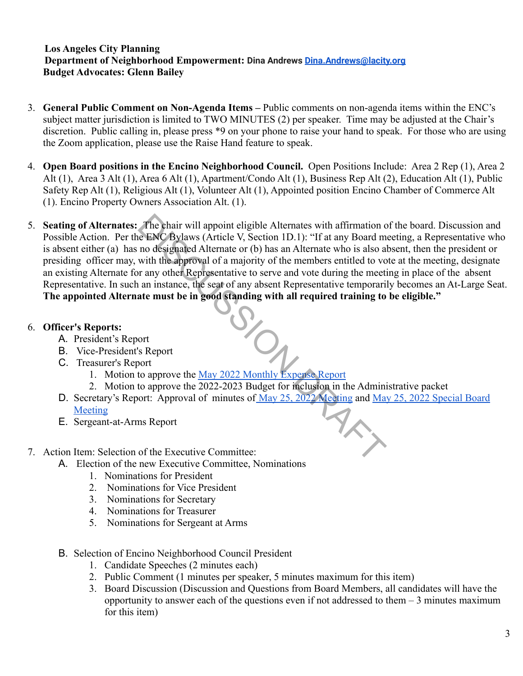#### **Los Angeles City Planning Department of Neighborhood Empowerment: Dina Andrews [Dina.Andrews@lacity.org](mailto:Dina.Andrews@lacity.org) Budget Advocates: Glenn Bailey**

- 3. **General Public Comment on Non-Agenda Items –** Public comments on non-agenda items within the ENC's subject matter jurisdiction is limited to TWO MINUTES (2) per speaker. Time may be adjusted at the Chair's discretion. Public calling in, please press \*9 on your phone to raise your hand to speak. For those who are using the Zoom application, please use the Raise Hand feature to speak.
- 4. **Open Board positions in the Encino Neighborhood Council.** Open Positions Include: Area 2 Rep (1), Area 2 Alt (1), Area 3 Alt (1), Area 6 Alt (1), Apartment/Condo Alt (1), Business Rep Alt (2), Education Alt (1), Public Safety Rep Alt (1), Religious Alt (1), Volunteer Alt (1), Appointed position Encino Chamber of Commerce Alt (1). Encino Property Owners Association Alt. (1).
- 5. **Seating of Alternates:** The chair will appoint eligible Alternates with affirmation of the board. Discussion and Possible Action. Per the ENC Bylaws (Article V, Section 1D.1): "If at any Board meeting, a Representative who is absent either (a) has no designated Alternate or (b) has an Alternate who is also absent, then the president or presiding officer may, with the approval of a majority of the members entitled to vote at the meeting, designate an existing Alternate for any other Representative to serve and vote during the meeting in place of the absent Representative. In such an instance, the seat of any absent Representative temporarily becomes an At-Large Seat. The appointed Alternate must be in good standing with all required training to be eligible."<br>
Officer's Reports: The chair will appoint eligible Alternates with affirmation c<br>
de ENC Bylaws (Article V, Section 1D.1): "If at any Board m<br>
no designated Alternate or (b) has an Alternate who is also al<br>
with the approval of a majority o

#### 6. **Officer's Reports:**

- A. President's Report
- B. Vice-President's Report
- C. Treasurer's Report
	- 1. Motion to approve the May 2022 Monthly Expense Report
	- 2. Motion to approve the 2022-2023 Budget for inclusion in the Administrative packet
- D. Secretary's Report: Approval of minutes of May 25, 2022 Meeting and [May 25, 2022 Special Board](https://www.encinonc.org/assets/documents/8/meeting629d78a147782.pdf) [Meeting](https://www.encinonc.org/assets/documents/8/meeting629d78a147782.pdf)
- E. Sergeant-at-Arms Report
- 7. Action Item: Selection of the Executive Committee:
	- A. Election of the new Executive Committee, Nominations
		- 1. Nominations for President
		- 2. Nominations for Vice President
		- 3. Nominations for Secretary
		- 4. Nominations for Treasurer
		- 5. Nominations for Sergeant at Arms
	- B. Selection of Encino Neighborhood Council President
		- 1. Candidate Speeches (2 minutes each)
		- 2. Public Comment (1 minutes per speaker, 5 minutes maximum for this item)
		- 3. Board Discussion (Discussion and Questions from Board Members, all candidates will have the opportunity to answer each of the questions even if not addressed to them  $-3$  minutes maximum for this item)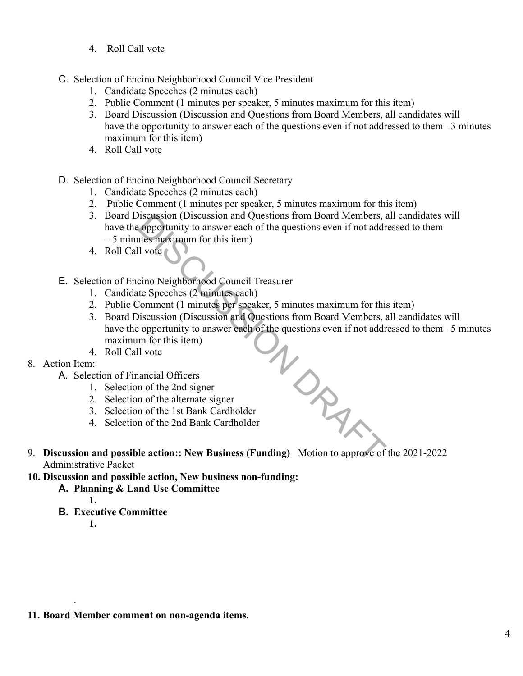- 4. Roll Call vote
- C. Selection of Encino Neighborhood Council Vice President
	- 1. Candidate Speeches (2 minutes each)
	- 2. Public Comment (1 minutes per speaker, 5 minutes maximum for this item)
	- 3. Board Discussion (Discussion and Questions from Board Members, all candidates will have the opportunity to answer each of the questions even if not addressed to them– 3 minutes maximum for this item)
	- 4. Roll Call vote
- D. Selection of Encino Neighborhood Council Secretary
	- 1. Candidate Speeches (2 minutes each)
	- 2. Public Comment (1 minutes per speaker, 5 minutes maximum for this item)
	- 3. Board Discussion (Discussion and Questions from Board Members, all candidates will have the opportunity to answer each of the questions even if not addressed to them – 5 minutes maximum for this item)
	- 4. Roll Call vote
- E. Selection of Encino Neighborhood Council Treasurer
	- 1. Candidate Speeches (2 minutes each)
	- 2. Public Comment (1 minutes per speaker, 5 minutes maximum for this item)
	- 3. Board Discussion (Discussion and Questions from Board Members, all candidates will have the opportunity to answer each of the questions even if not addressed to them– 5 minutes maximum for this item)  $M_{\odot}$
	- 4. Roll Call vote

#### 8. Action Item:

- A. Selection of Financial Officers
	- 1. Selection of the 2nd signer
	- 2. Selection of the alternate signer
	- 3. Selection of the 1st Bank Cardholder
	- 4. Selection of the 2nd Bank Cardholder
- 9. **Discussion and possible action:: New Business (Funding)** Motion to approve of the 2021-2022 Administrative Packet
- **10. Discussion and possible action, New business non-funding:**
	- **A. Planning & Land Use Committee**
		- **1.**
		- **B. Executive Committee**
			- **1.**

.

**11. Board Member comment on non-agenda items.**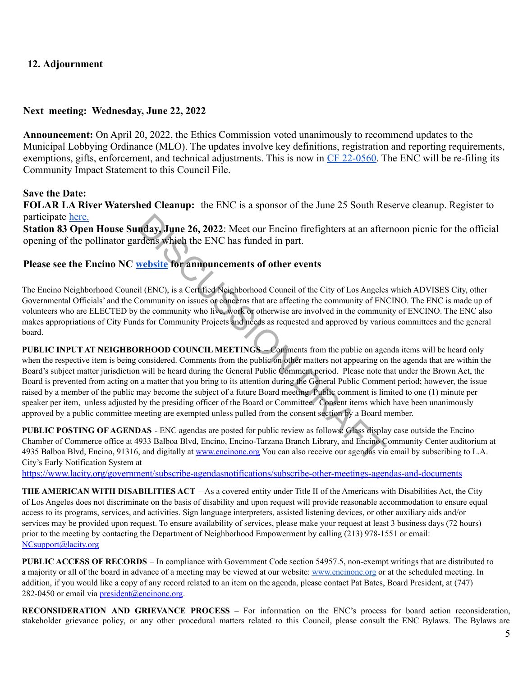#### **12. Adjournment**

#### **Next meeting: Wednesday, June 22, 2022**

**Announcement:** On April 20, 2022, the Ethics Commission voted unanimously to recommend updates to the Municipal Lobbying Ordinance (MLO). The updates involve key definitions, registration and reporting requirements, exemptions, gifts, enforcement, and technical adjustments. This is now in [CF 22-0560.](https://cityclerk.lacity.org/lacityclerkconnect/index.cfm?fa=ccfi.viewrecord&cfnumber=22-0560) The ENC will be re-filing its Community Impact Statement to this Council File.

#### **Save the Date:**

**FOLAR LA River Watershed Cleanup:** the ENC is a sponsor of the June 25 South Reserve cleanup. Register to participate [here.](https://folar.org/cleanup/)

**Station 83 Open House Sunday, June 26, 2022**: Meet our Encino firefighters at an afternoon picnic for the official opening of the pollinator gardens which the ENC has funded in part.

#### **Please see the Encino NC website for announcements of other events**

The Encino Neighborhood Council (ENC), is a Certified Neighborhood Council of the City of Los Angeles which ADVISES City, other Governmental Officials' and the Community on issues or concerns that are affecting the community of ENCINO. The ENC is made up of volunteers who are ELECTED by the community who live, work or otherwise are involved in the community of ENCINO. The ENC also makes appropriations of City Funds for Community Projects and needs as requested and approved by various committees and the general board.

**PUBLIC INPUT AT NEIGHBORHOOD COUNCIL MEETINGS** – Comments from the public on agenda items will be heard only when the respective item is being considered. Comments from the public on other matters not appearing on the agenda that are within the Board's subject matter jurisdiction will be heard during the General Public Comment period. Please note that under the Brown Act, the Board is prevented from acting on a matter that you bring to its attention during the General Public Comment period; however, the issue raised by a member of the public may become the subject of a future Board meeting. Public comment is limited to one (1) minute per speaker per item, unless adjusted by the presiding officer of the Board or Committee. Consent items which have been unanimously approved by a public committee meeting are exempted unless pulled from the consent section by a Board member. **Index, June 26, 2022:** Meet our Encino firefighters at an after<br>
rdens which the ENC has funded in part.<br>
website for announcements of other events<br>
il (ENC), is a Certified Neighborhood Council of the City of Los Angeles

**PUBLIC POSTING OF AGENDAS** - ENC agendas are posted for public review as follows: Glass display case outside the Encino Chamber of Commerce office at 4933 Balboa Blvd, Encino, Encino-Tarzana Branch Library, and Encino Community Center auditorium at 4935 Balboa Blvd, Encino, 91316, and digitally at www.encinone.org You can also receive our agendas via email by subscribing to L.A. City's Early Notification System at

<https://www.lacity.org/government/subscribe-agendasnotifications/subscribe-other-meetings-agendas-and-documents>

**THE AMERICAN WITH DISABILITIES ACT** – As a covered entity under Title II of the Americans with Disabilities Act, the City of Los Angeles does not discriminate on the basis of disability and upon request will provide reasonable accommodation to ensure equal access to its programs, services, and activities. Sign language interpreters, assisted listening devices, or other auxiliary aids and/or services may be provided upon request. To ensure availability of services, please make your request at least 3 business days (72 hours) prior to the meeting by contacting the Department of Neighborhood Empowerment by calling (213) 978-1551 or email: [NCsupport@lacity.org](mailto:NCsupport@lacity.org)

**PUBLIC ACCESS OF RECORDS** – In compliance with Government Code section 54957.5, non-exempt writings that are distributed to a majority or all of the board in advance of a meeting may be viewed at our website: [www.encinonc.org](http://www.encinonc.org) or at the scheduled meeting. In addition, if you would like a copy of any record related to an item on the agenda, please contact Pat Bates, Board President, at (747) 282-0450 or email via  $president@encinonc.org$ .

**RECONSIDERATION AND GRIEVANCE PROCESS** – For information on the ENC's process for board action reconsideration, stakeholder grievance policy, or any other procedural matters related to this Council, please consult the ENC Bylaws. The Bylaws are